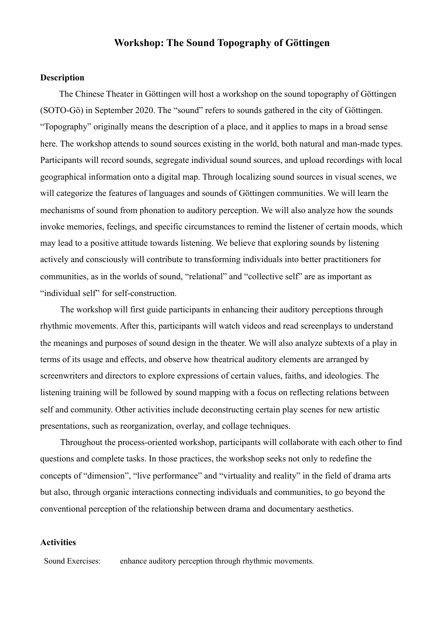# **Workshop: The Sound Topography of Göttingen**

### **Description**

 The Chinese Theater in Göttingen will host a workshop on the sound topography of Göttingen (SOTO-Gö) in September 2020. The "sound" refers to sounds gathered in the city of Göttingen. "Topography" originally means the description of a place, and it applies to maps in a broad sense here. The workshop attends to sound sources existing in the world, both natural and man-made types. Participants will record sounds, segregate individual sound sources, and upload recordings with local geographical information onto a digital map. Through localizing sound sources in visual scenes, we will categorize the features of languages and sounds of Göttingen communities. We will learn the mechanisms of sound from phonation to auditory perception. We will also analyze how the sounds invoke memories, feelings, and specific circumstances to remind the listener of certain moods, which may lead to a positive attitude towards listening. We believe that exploring sounds by listening actively and consciously will contribute to transforming individuals into better practitioners for communities, as in the worlds of sound, "relational" and "collective self" are as important as "individual self" for self-construction.

 The workshop will first guide participants in enhancing their auditory perceptions through rhythmic movements. After this, participants will watch videos and read screenplays to understand the meanings and purposes of sound design in the theater. We will also analyze subtexts of a play in terms of its usage and effects, and observe how theatrical auditory elements are arranged by screenwriters and directors to explore expressions of certain values, faiths, and ideologies. The listening training will be followed by sound mapping with a focus on reflecting relations between self and community. Other activities include deconstructing certain play scenes for new artistic presentations, such as reorganization, overlay, and collage techniques.

 Throughout the process-oriented workshop, participants will collaborate with each other to find questions and complete tasks. In those practices, the workshop seeks not only to redefine the concepts of "dimension", "live performance" and "virtuality and reality" in the field of drama arts but also, through organic interactions connecting individuals and communities, to go beyond the conventional perception of the relationship between drama and documentary aesthetics.

#### **Activities**

Sound Exercises: enhance auditory perception through rhythmic movements.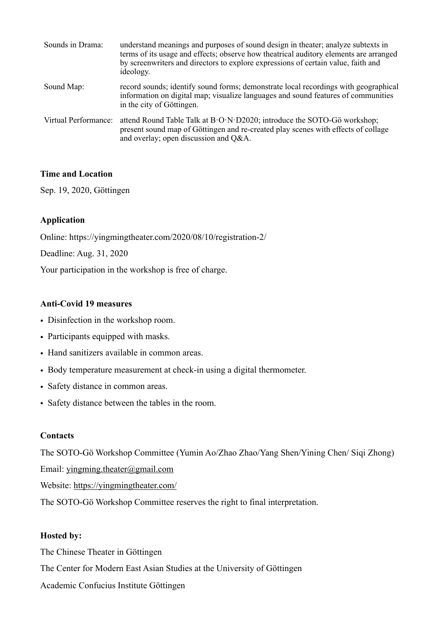| Sounds in Drama:     | understand meanings and purposes of sound design in theater; analyze subtexts in<br>terms of its usage and effects; observe how theatrical auditory elements are arranged<br>by screenwriters and directors to explore expressions of certain value, faith and<br>ideology. |
|----------------------|-----------------------------------------------------------------------------------------------------------------------------------------------------------------------------------------------------------------------------------------------------------------------------|
| Sound Map:           | record sounds; identify sound forms; demonstrate local recordings with geographical<br>information on digital map; visualize languages and sound features of communities<br>in the city of Göttingen.                                                                       |
| Virtual Performance: | attend Round Table Talk at B.O.N.D2020; introduce the SOTO-Gö workshop;<br>present sound map of Göttingen and re-created play scenes with effects of collage<br>and overlay; open discussion and Q&A.                                                                       |

### **Time and Location**

Sep. 19, 2020, Göttingen

# **Application**

Online: https://yingmingtheater.com/2020/08/10/registration-2/

Deadline: Aug. 31, 2020

Your participation in the workshop is free of charge.

### **Anti-Covid 19 measures**

- Disinfection in the workshop room.
- Participants equipped with masks.
- Hand sanitizers available in common areas.
- Body temperature measurement at check-in using a digital thermometer.
- Safety distance in common areas.
- Safety distance between the tables in the room.

### **Contacts**

The SOTO-Gö Workshop Committee (Yumin Ao/Zhao Zhao/Yang Shen/Yining Chen/ Siqi Zhong)

Email: [yingming.theater@gmail.com](mailto:yingming.theater@gmail.com)

Website: <https://yingmingtheater.com/>

The SOTO-Gö Workshop Committee reserves the right to final interpretation.

# **Hosted by:**

The Chinese Theater in Göttingen

The Center for Modern East Asian Studies at the University of Göttingen

Academic Confucius Institute Göttingen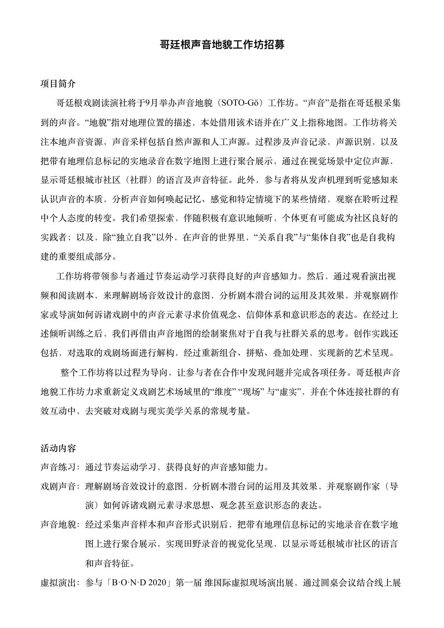# 哥廷根声音地貌工作坊招募

**项⽬简介**

哥廷根戏剧读演社将于9月举办声音地貌 (SOTO-Gö) 工作坊。"声音"是指在哥廷根采集 到的声音。"地貌"指对地理位置的描述,本处借用该术语并在广义上指称地图。工作坊将关 注本地声音资源,声音采样包括自然声源和人工声源。过程涉及声音记录,声源识别,以及 把带有地理信息标记的实地录音在数字地图上进行聚合展示,通过在视觉场景中定位声源, 显示哥廷根城市社区(社群)的语言及声音特征。此外,参与者将从发声机理到听觉感知来 认识声音的本质,分析声音如何唤起记忆、感觉和特定情境下的某些情绪,观察在聆听过程 中个⼈态度的转变。我们希望探索,伴随积极有意识地倾听,个体更有可能成为社区良好的 实践者;以及,除"独立自我"以外,在声音的世界里,"关系自我"与"集体自我"也是自我构 建的重要组成部分。

工作坊将带领参与者通过节奏运动学习获得良好的声音感知力。然后,通过观看演出视 频和阅读剧本,来理解剧场音效设计的意图,分析剧本潜台词的运用及其效果,并观察剧作 家或导演如何诉诸戏剧中的声音元素寻求价值观念、信仰体系和意识形态的表达。在经过上 述倾听训练之后,我们再借由声音地图的绘制聚焦对于自我与社群关系的思考。创作实践还 包括,对选取的戏剧场⾯进⾏解构,经过重新组合、拼贴、叠加处理,实现新的艺术呈现。

整个工作坊将以过程为导向,让参与者在合作中发现问题并完成各项任务。哥廷根声音 地貌工作坊力求重新定义戏剧艺术场域里的"维度" "现场" 与"虚实",并在个体连接社群的有 效互动中,去突破对戏剧与现实美学关系的常规考量。

**活动内容**

声音练习: 通过节奏运动学习, 获得良好的声音感知能力。

- 戏剧声音: 理解剧场音效设计的意图, 分析剧本潜台词的运用及其效果, 并观察剧作家(导 演)如何诉诸戏剧元素寻求思想、观念甚至意识形态的表达。
- 声音地貌: 经过采集声音样本和声音形式识别后, 把带有地理信息标记的实地录音在数字地 图上进行聚合展示,实现田野录音的视觉化呈现,以显示哥廷根城市社区的语言 和声音特征。

虚拟演出:参与「B·O·N·D 2020」第⼀届 维国际虚拟现场演出展,通过圆桌会议结合线上展